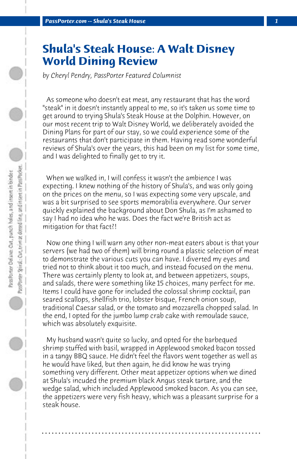## **Shula's Steak House: A Walt Disney World Dining Review**

*by Cheryl Pendry, PassPorter Featured Columnist*

 As someone who doesn't eat meat, any restaurant that has the word "steak" in it doesn't instantly appeal to me, so it's taken us some time to get around to trying Shula's Steak House at the Dolphin. However, on our most recent trip to Walt Disney World, we deliberately avoided the Dining Plans for part of our stay, so we could experience some of the restaurants that don't participate in them. Having read some wonderful reviews of Shula's over the years, this had been on my list for some time, and I was delighted to finally get to try it.

 When we walked in, I will confess it wasn't the ambience I was expecting. I knew nothing of the history of Shula's, and was only going on the prices on the menu, so I was expecting some very upscale, and was a bit surprised to see sports memorabilia everywhere. Our server quickly explained the background about Don Shula, as I'm ashamed to say I had no idea who he was. Does the fact we're British act as mitigation for that fact?!

 Now one thing I will warn any other non-meat eaters about is that your servers (we had two of them) will bring round a plastic selection of meat to demonstrate the various cuts you can have. I diverted my eyes and tried not to think about it too much, and instead focused on the menu. There was certainly plenty to look at, and between appetizers, soups, and salads, there were something like 15 choices, many perfect for me. Items I could have gone for included the colossal shrimp cocktail, pan seared scallops, shellfish trio, lobster bisque, French onion soup, traditional Caesar salad, or the tomato and mozzarella chopped salad. In the end, I opted for the jumbo lump crab cake with remoulade sauce, which was absolutely exquisite.

 My husband wasn't quite so lucky, and opted for the barbequed shrimp stuffed with basil, wrapped in Applewood smoked bacon tossed in a tangy BBQ sauce. He didn't feel the flavors went together as well as he would have liked, but then again, he did know he was trying something very different. Other meat appetizer options when we dined at Shula's incuded the premium black Angus steak tartare, and the wedge salad, which included Applewood smoked bacon. As you can see, the appetizers were very fish heavy, which was a pleasant surprise for a steak house.

**. . . . . . . . . . . . . . . . . . . . . . . . . . . . . . . . . . . . . . . . . . . . . . . . . . . . . . . . . . . . . . . . . .**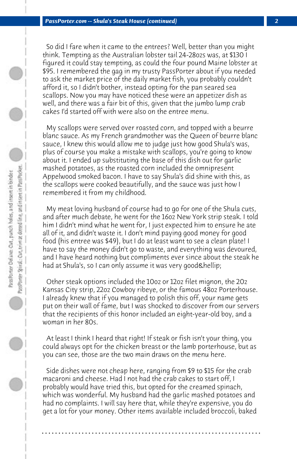So did I fare when it came to the entrees? Well, better than you might think. Tempting as the Australian lobster tail 24-28ozs was, at \$130 I figured it could stay tempting, as could the four pound Maine lobster at \$95. I remembered the gag in my trusty PassPorter about if you needed to ask the market price of the daily market fish, you probably couldn't afford it, so I didn't bother, instead opting for the pan seared sea scallops. Now you may have noticed these were an appetizer dish as well, and there was a fair bit of this, given that the jumbo lump crab cakes I'd started off with were also on the entree menu.

 My scallops were served over roasted corn, and topped with a beurre blanc sauce. As my French grandmother was the Queen of beurre blanc sauce, I knew this would allow me to judge just how good Shula's was, plus of course you make a mistake with scallops, you're going to know about it. I ended up substituting the base of this dish out for garlic mashed potatoes, as the roasted corn included the omnipresent Appelwood smoked bacon. I have to say Shula's did shine with this, as the scallops were cooked beautifully, and the sauce was just how I remembered it from my childhood.

 My meat loving husband of course had to go for one of the Shula cuts, and after much debate, he went for the 16oz New York strip steak. I told him I didn't mind what he went for, I just expected him to ensure he ate all of it, and didn't waste it. I don't mind paying good money for good food (his entree was \$49), but I do at least want to see a clean plate! I have to say the money didn't go to waste, and everything was devoured, and I have heard nothing but compliments ever since about the steak he had at Shula's, so I can only assume it was very good & hellip;

 Other steak options included the 10oz or 12oz filet mignon, the 20z Kansas City strip, 22oz Cowboy ribeye, or the famous 48oz Porterhouse. I already knew that if you managed to polish this off, your name gets put on their wall of fame, but I was shocked to discover from our servers that the recipients of this honor included an eight-year-old boy, and a woman in her 80s.

 At least I think I heard that right! If steak or fish isn't your thing, you could always opt for the chicken breast or the lamb porterhouse, but as you can see, those are the two main draws on the menu here.

 Side dishes were not cheap here, ranging from \$9 to \$15 for the crab macaroni and cheese. Had I not had the crab cakes to start off, I probably would have tried this, but opted for the creamed spinach, which was wonderful. My husband had the garlic mashed potatoes and had no complaints. I will say here that, while they're expensive, you do get a lot for your money. Other items available included broccoli, baked

**. . . . . . . . . . . . . . . . . . . . . . . . . . . . . . . . . . . . . . . . . . . . . . . . . . . . . . . . . . . . . . . . . .**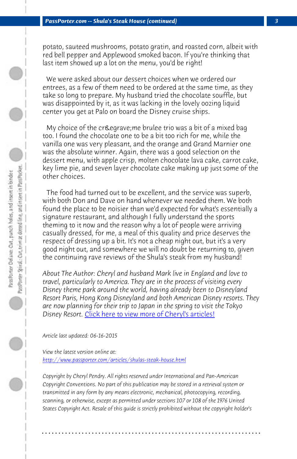potato, sauteed mushrooms, potato gratin, and roasted corn, albeit with red bell pepper and Applewood smoked bacon. If you're thinking that last item showed up a lot on the menu, you'd be right!

 We were asked about our dessert choices when we ordered our entrees, as a few of them need to be ordered at the same time, as they take so long to prepare. My husband tried the chocolate souffle, but was disappointed by it, as it was lacking in the lovely oozing liquid center you get at Palo on board the Disney cruise ships.

My choice of the crè me brulee trio was a bit of a mixed bag too. I found the chocolate one to be a bit too rich for me, while the vanilla one was very pleasant, and the orange and Grand Marnier one was the absolute winner. Again, there was a good selection on the dessert menu, with apple crisp, molten chocolate lava cake, carrot cake, key lime pie, and seven layer chocolate cake making up just some of the other choices[.](http://www.passporter.com/articles/cheryl-pendry-featured-columnist.asp)

 The food had turned out to be excellent, and the service was superb, with both Don and Dave on hand whenever we needed them. We both found the place to be noisier than we'd expected for what's essentially a signature restaurant, and although I fully understand the sports [theming to it now and the reason why a lot of pe](http://www.passporter.com/articles/shulas-steak-house.php)ople were arriving casually dressed, for me, a meal of this quality and price deserves the respect of dressing up a bit. It's not a cheap night out, but it's a very good night out, and somewhere we will no doubt be returning to, given the continuing rave reviews of the Shula's steak from my husband!

*About The Author: Cheryl and husband Mark live in England and love to travel, particularly to America. They are in the process of visiting every Disney theme park around the world, having already been to Disneyland Resort Paris, Hong Kong Disneyland and both American Disney resorts. They are now planning for their trip to Japan in the spring to visit the Tokyo Disney Resort.* Click here to view more of Cheryl's articles!

*Article last updated: 06-16-2015*

*View the latest version online at: http://www.passporter.com/articles/shulas-steak-house.html*

*Copyright by Cheryl Pendry. All rights reserved under International and Pan-American Copyright Conventions. No part of this publication may be stored in a retrieval system or transmitted in any form by any means electronic, mechanical, photocopying, recording, scanning, or otherwise, except as permitted under sections 107 or 108 of the 1976 United States Copyright Act. Resale of this guide is strictly prohibited without the copyright holder's*

**. . . . . . . . . . . . . . . . . . . . . . . . . . . . . . . . . . . . . . . . . . . . . . . . . . . . . . . . . . . . . . . . . .**